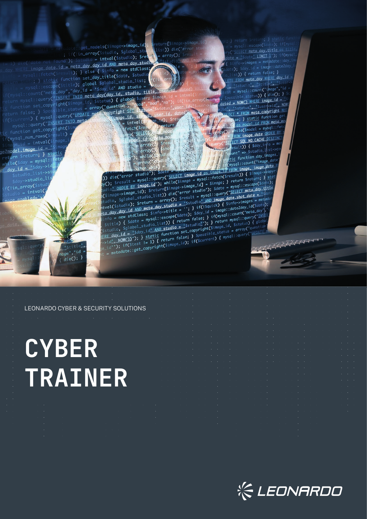$y$ ("SELECT meta day, title as  $\frac{1}{\text{date}} = \frac{\text{state} \cdot \text{LIMIT}}{\text{model} \cdot \text{state} \cdot \text{day}}$  $\frac{1}{100}$  =  $\frac{1}{2}$  but to  $\frac{1}{2}$  = metadate:: day  $sday_id = image::date2da$ e);  $f(t)$  { return false; } TE FROM meta\_day WHERE day\_id Sstudio Stitle 5 mysql::count("image","id spossible\_status) {  $\frac{1}{\text{dated}} = \frac{\text{Now}}{\text{dated}} = \frac{\text{Now}}{\text{dated}} = \frac{\text{Weier}}{\text{dagger}} = \frac{\text{Weier}}{\text{dagger}} = \frac{\text{Weier}}{\text{dagger}} = \frac{\text{Weier}}{\text{dagger}} = \frac{\text{Weier}}{\text{dagger}} = \frac{\text{Weier}}{\text{dagger}} = \frac{\text{Weier}}{\text{dagger}} = \frac{\text{Weier}}{\text{dagger}} = \frac{\text{Weier}}{\text{dagger}} = \frac{\text{Weier}}{\text{dagger}} = \frac{\text{Weier}}{\text$ \* FROM meta\_copyright Wh se; } static function ge ;<br>se; } static function ge<br>del del deROM meta\_m  $-1.1$ hile(\$model = mysql::fet<br>hile(\$model = mysql::fet hile(\$mode: = ...)<br><u>ROM i**mage\_date\_O**RDER\_BY</u> FROM 1mage HOLD<br><u>FCT SQL NO CACHE</u> DISTING  $\frac{FCT \text{SQL NO\_ADID}}{\text{result}}$  {  $\frac{5 \text{day} \cdot \text{info}}{\text{total}} = m$  $unt'' \Rightarrow$  \$studioages. ount<br>Itic function day\_im<br>Climage

atic function auy\_tmey<br>(mysql::count("image\_date")<br>mage\_date") if(mysql::count)<br>14 FROM image, image date

 $cta$ 

ρ):

eturn[\$image->image get\_models(\$image->image\_id); list)) dieC"error if(!in\_array(\$studio, \$global\_st  $= arrayO;$ 

image\_id,

 $=$  intval(

fetch(\$re

 $-1$  id

arra

experience and a simple that the state of the state of the state of the state of the state of the state of the state of the state of the state of the state of the state of the state of the state of the state of the state o

experience and systems in the set of the set of the set of the set of the set of the set of the set of the set of the set of the set of the set of the set of the set of the set of the set of the set of the set of the set o E) die("error studio"); while( $\frac{\text{SELECI image} \cdot \text{10}}{\text{image} \cdot \text{10}}$  = mysql:: $\frac{\text{fekC}}{\text{fekC}}$  = mysql:: $\frac{\text{gekC}}{\text{fekC}}$  = mysql:: $\frac{\text{fekC}}{\text{fekC}}$  = mysql:: $\frac{\text{fekC}}{\text{fekC}}$  = mysql:: $\frac{\text{fekC}}{\text{fekC}}$  = mysql::escape(

ry C; fresult = mysql::query<br>
y(); fresult = mysql::query while(simage = mysql::scape(siddio)<br>
cudio <u>\* ORDER BY image.i</u>d"); while(simage->image.id] = simage; } return sreturn;<br>
s(simage->image\_id); sreturn[simage->image\_

Hence the state is the state of the state and the state of the state of the state of the state of the state of the state of the state of the state of the state of the state of the state of the state of the state of the sta

Simfo = mysql::iduology\_id\_info = mysql::eccepters.html = "is and "iduology\_id" AND static function sqlobal\_studio = "static function"<br>
State = mysql::eccepters.html = "is a static sqlobal\_studio"); Sate = mysql::eccepters

date not found');  $$stud10 = Intvar(s)$ <br>image date  $id = \text{meta}$  day, day id AND meta day.studin ge\_date.id = meta\_day.day\_id\_AND\_meta\_ay.com<br>:fetch(\$result); } else { \$info = new stdClass; Fetch(Sresult); } else { \$1070 = new season]<br>static function set\_day\_title(\$date, \$studio\_ ; } static function set\_day\_title(saace, social;<br>; } static function = global \$global\_studio\_list;<br>sql::escape(stitle); global \$global\_studio = ql::escape(Stitle**); global \$global\_stanc\_--**<br>ql::escape(Stitle**); "day\_id = '\$day\_id' AND studio =**<br>unt("meta\_dorer TNTO meta **day(day\_id, studio, t** i::escuper-<br>ht("meta\_day","day\_id = '\$day\_id**' AND studio, title,**<br>query("<u>TNSERT INTO meta day(day id, studio, title,</u><br>query("<u>TNSERT INTO meta day(day id, studio, title</u>, ery("<u>INSERT INTO meta day(day id, stual);</u><br>copyright(simage\_id, \$status) { global \$user; \$image\_id, \$status) { global \$user; \$image\_id, \$ set\_copyright(\$image\_id, \$status) { growt<br>; } \$possible\_status = array("question",<br>} { mysql::query("UPDATE\_meto\_xopyright SE<br>} { mysql::query("UPDATE\_meto\_xopyright SE opyright SET

 $f$ unction get\_copyright(\$i ic function get\_copy<br>if(mysql\_num\_rows(\$result)<br>intygl(\$image\_  $id = intval(\S)$  $ge2$ model.image\_id = return \$return; } day\_id f(!in\_array(\$s intval

LEONARDO CYBER & SECURITY SOLUTIONS

 $\overline{age}$ ", "id  $\tilde{d}$ ie(); l

# **CYBER TRAINER**

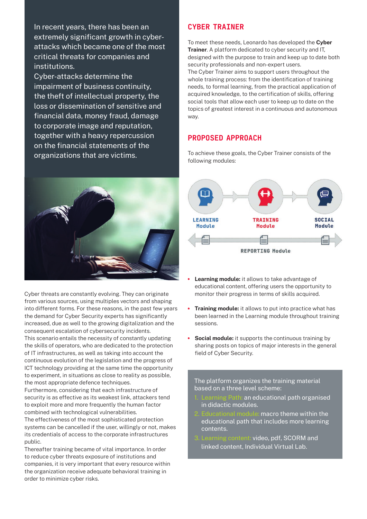In recent years, there has been an extremely significant growth in cyberattacks which became one of the most critical threats for companies and institutions.

Cyber-attacks determine the impairment of business continuity, the theft of intellectual property, the loss or dissemination of sensitive and financial data, money fraud, damage to corporate image and reputation, together with a heavy repercussion on the financial statements of the organizations that are victims.



Cyber threats are constantly evolving. They can originate from various sources, using multiples vectors and shaping into different forms. For these reasons, in the past few years the demand for Cyber Security experts has significantly increased, due as well to the growing digitalization and the consequent escalation of cybersecurity incidents. This scenario entails the necessity of constantly updating the skills of operators, who are dedicated to the protection of IT infrastructures, as well as taking into account the continuous evolution of the legislation and the progress of ICT technology providing at the same time the opportunity to experiment, in situations as close to reality as possible, the most appropriate defence techniques.

Furthermore, considering that each infrastructure of security is as effective as its weakest link, attackers tend to exploit more and more frequently the human factor combined with technological vulnerabilities.

The effectiveness of the most sophisticated protection systems can be cancelled if the user, willingly or not, makes its credentials of access to the corporate infrastructures public.

Thereafter training became of vital importance. In order to reduce cyber threats exposure of institutions and companies, it is very important that every resource within the organization receive adequate behavioral training in order to minimize cyber risks.

## CYBER TRAINER

To meet these needs, Leonardo has developed the **Cyber Trainer**. A platform dedicated to cyber security and IT, designed with the purpose to train and keep up to date both security professionals and non-expert users. The Cyber Trainer aims to support users throughout the whole training process: from the identification of training needs, to formal learning, from the practical application of acquired knowledge, to the certification of skills, offering social tools that allow each user to keep up to date on the topics of greatest interest in a continuous and autonomous way.

## PROPOSED APPROACH

To achieve these goals, the Cyber Trainer consists of the following modules:



- **Learning module:** it allows to take advantage of educational content, offering users the opportunity to monitor their progress in terms of skills acquired.
- **Training module:** it allows to put into practice what has been learned in the Learning module throughout training sessions.
- **Social module:** it supports the continuous training by sharing posts on topics of major interests in the general field of Cyber Security.

The platform organizes the training material based on a three level scheme:

- an educational path organised in didactic modules.
- $\overline{\overline{\text{}}\text{}}$  macro theme within the educational path that includes more learning contents.
- Learning content: video, pdf, SCORM and linked content, Individual Virtual Lab.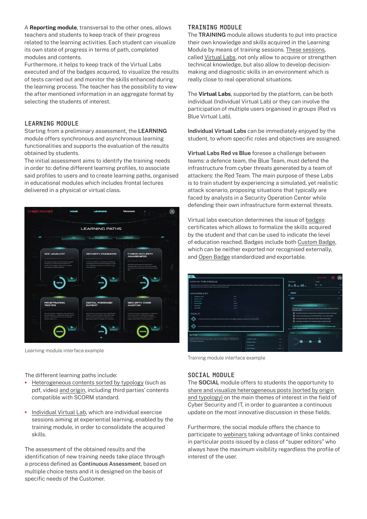A **Reporting module**, transversal to the other ones, allows teachers and students to keep track of their progress related to the learning activities. Each student can visualize its own state of progress in terms of path, completed modules and contents.

Furthermore, it helps to keep track of the Virtual Labs executed and of the badges acquired, to visualize the results of tests carried out and monitor the skills enhanced during the learning process. The teacher has the possibility to view the after mentioned information in an aggregate format by selecting the students of interest.

#### **LEARNING MODULE**

Starting from a preliminary assessment, the **LEARNING** module offers synchronous and asynchronous learning functionalities and supports the evaluation of the results obtained by students.

The initial assessment aims to identify the training needs in order to: define different learning profiles, to associate said profiles to users and to create learning paths, organised in educational modules which includes frontal lectures delivered in a physical or virtual class.



Learning module interface example

#### **TRAINING MODULE**

The **TRAINING** module allows students to put into practice their own knowledge and skills acquired in the Learning Module by means of training sessions. These sessions, called Virtual Labs, not only allow to acquire or strengthen technical knowledge, but also allow to develop decisionmaking and diagnostic skills in an environment which is really close to real operational situations.

The **Virtual Labs**, supported by the platform, can be both individual (Individual Virtual Lab) or they can involve the participation of multiple users organised in groups (Red vs Blue Virtual Lab).

**Individual Virtual Labs** can be immediately enjoyed by the student, to whom specific roles and objectives are assigned.

**Virtual Labs Red vs Blue** foresee a challenge between teams: a defence team, the Blue Team, must defend the infrastructure from cyber threats generated by a team of attackers: the Red Team. The main purpose of these Labs is to train student by experiencing a simulated, yet realistic attack scenario, proposing situations that typically are faced by analysts in a Security Operation Center while defending their own infrastructure form external threats.

Virtual labs execution determines the issue of badges: certificates which allows to formalize the skills acquired by the student and that can be used to indicate the level of education reached. Badges include both Custom Badge, which can be neither exported nor recognised externally, and Open Badge standardized and exportable.



Training module interface example

#### **SOCIAL MODULE**

The **SOCIAL** module offers to students the opportunity to share and visualize heterogeneous posts (sorted by origin and typology) on the main themes of interest in the field of Cyber Security and IT, in order to guarantee a continuous update on the most innovative discussion in these fields.

Furthermore, the social module offers the chance to participate to webinars taking advantage of links contained in particular posts issued by a class of "super editors" who always have the maximum visibility regardless the profile of interest of the user.

The different learning paths include:

- **•** Heterogeneous contents sorted by typology (such as pdf, video) and origin, including third parties' contents compatible with SCORM standard.
- **•** Individual Virtual Lab, which are individual exercise sessions aiming at experiential learning, enabled by the training module, in order to consolidate the acquired skills.

The assessment of the obtained results and the identification of new training needs take place through a process defined as Continuous Assessment, based on multiple choice tests and it is designed on the basis of specific needs of the Customer.